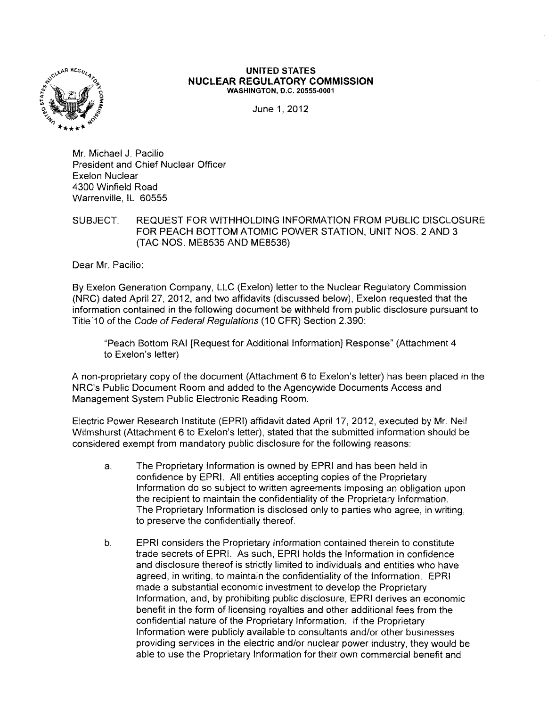

## **UNITED STATES NUCLEAR REGULATORY COMMISSION** WASHINGTON, D.C. 20555-0001

June 1,2012

Mr. Michael J. Pacilio President and Chief Nuclear Officer Exelon Nuclear 4300 Winfield Road Warrenville, IL 60555

SUBJECT: REQUEST FOR WITHHOLDING INFORMATION FROM PUBLIC DISCLOSURE FOR PEACH BOTTOM ATOMIC POWER STATION, UNIT NOS. 2 AND 3 (TAC NOS. ME8535 AND ME8536)

Dear Mr. Pacilio:

By Exelon Generation Company, LLC (Exelon) letter to the Nuclear Regulatory Commission (NRC) dated April 27, 2012, and two affidavits (discussed below), Exelon requested that the information contained in the following document be withheld from public disclosure pursuant to Title 10 of the Code of Federal Regulations (10 CFR) Section 2.390:

"Peach Bottom RAI [Request for AdditionallnformationJ Response" (Attachment 4 to Exelon's letter)

A non-proprietary copy of the document (Attachment 6 to Exelon's letter) has been placed in the NRC's Public Document Room and added to the Agencywide Documents Access and Management System Public Electronic Reading Room.

Electric Power Research Institute (EPRI) affidavit dated April 17, 2012, executed by Mr. Neil Wilmshurst (Attachment 6 to Exelon's letter), stated that the submitted information should be considered exempt from mandatory public disclosure for the following reasons:

- a. The Proprietary Information is owned by EPRI and has been held in confidence by EPRI. All entities accepting copies of the Proprietary Information do so subject to written agreements imposing an obligation upon the recipient to maintain the confidentiality of the Proprietary Information. The Proprietary Information is disclosed only to parties who agree, in writing, to preserve the confidentially thereof.
- b. EPRI considers the Proprietary Information contained therein to constitute trade secrets of EPR!. As such, EPRI holds the Information in confidence and disclosure thereof is strictly limited to individuals and entities who have agreed, in writing, to maintain the confidentiality of the Information. EPRI made a substantial economic investment to develop the Proprietary Information, and, by prohibiting public disclosure, EPRI derives an economic benefit in the form of licensing royalties and other additional fees from the confidential nature of the Proprietary Information. If the Proprietary Information were publicly available to consultants and/or other businesses providing services in the electric and/or nuclear power industry, they would be able to use the Proprietary Information for their own commercial benefit and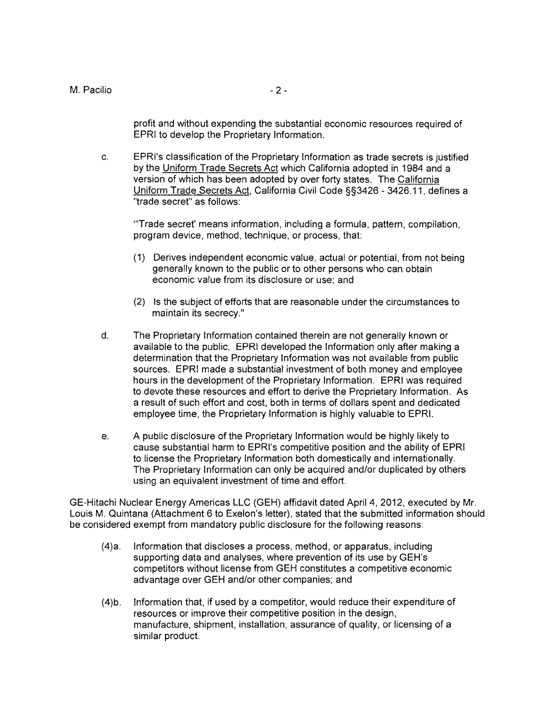profit and without expending the substantial economic resources required of EPRI to develop the Proprietary Information.

c. EPRI's classification of the Proprietary Information as trade secrets is justified by the Uniform Trade Secrets Act which California adopted in 1984 and a version of which has been adopted by over forty states. The California Uniform Trade Secrets Act, California Civil Code §§3426 - 3426.11, defines a "trade secret" as follows:

'''Trade secret' means information, including a formula, pattern, compilation, program device, method, technique, or process, that:

- (1) Derives independent economic value, actual or potential, from not being generally known to the public or to other persons who can obtain economic value from its disclosure or use; and
- (2) Is the subject of efforts that are reasonable under the circumstances to maintain its secrecy."
- d. The Proprietary Information contained therein are not generally known or available to the public. EPRI developed the Information only after making a determination that the Proprietary Information was not available from public sources. EPRI made a substantial investment of both money and employee hours in the development of the Proprietary Information. EPRI was required to devote these resources and effort to derive the Proprietary Information. As a result of such effort and cost, both in terms of dollars spent and dedicated employee time, the Proprietary Information is highly valuable to EPRI.
- e. A public disclosure of the Proprietary Information would be highly likely to cause substantial harm to EPRI's competitive position and the ability of EPRI to license the Proprietary Information both domestically and internationally. The Proprietary Information can only be acquired and/or duplicated by others using an equivalent investment of time and effort.

GE-Hitachi Nuclear Energy Americas LLC (GEH) affidavit dated April 4, 2012, executed by Mr. Louis M. Quintana (Attachment 6 to Exelon's letter), stated that the submitted information should be considered exempt from mandatory public disclosure for the following reasons:

- (4)a. Information that discloses a process, method, or apparatus, including supporting data and analyses, where prevention of its use by GEH's competitors without license from GEH constitutes a competitive economic advantage over GEH and/or other companies; and
- (4)b. Information that, if used by a competitor, would reduce their expenditure of resources or improve their competitive position in the design, manufacture, shipment, installation, assurance of quality, or licensing of a similar product.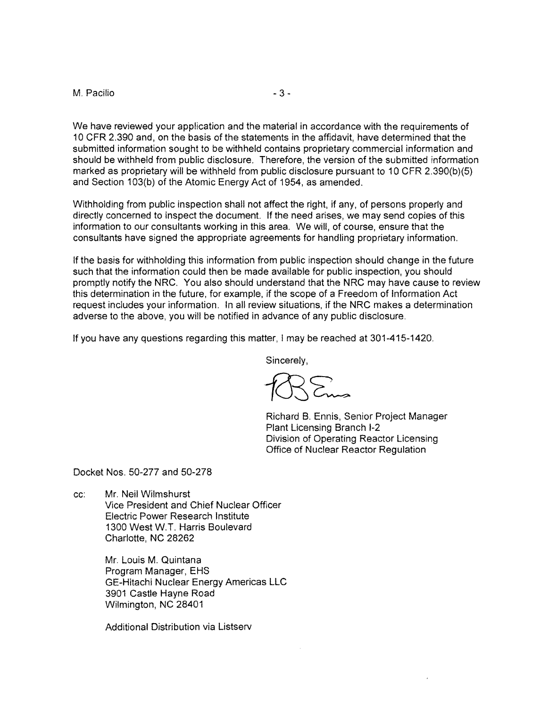## M. Pacilio and the state of  $\sim$  3 -

We have reviewed your application and the material in accordance with the requirements of 10 CFR 2.390 and, on the basis of the statements in the affidavit, have determined that the submitted information sought to be withheld contains proprietary commercial information and should be withheld from public disclosure. Therefore, the version of the submitted information marked as proprietary will be withheld from public disclosure pursuant to 10 CFR 2.390(b)(5) and Section 103(b) of the Atomic Energy Act of 1954, as amended.

Withholding from public inspection shall not affect the right, if any, of persons properly and directly concerned to inspect the document. If the need arises, we may send copies of this information to our consultants working in this area. We will, of course, ensure that the consultants have signed the appropriate agreements for handling proprietary information.

If the basis for withholding this information from public inspection should change in the future such that the information could then be made available for public inspection, you should promptly notify the NRC. You also should understand that the NRC may have cause to review this determination in the future, for example, if the scope of a Freedom of Information Act request includes your information. In all review situations, if the NRC makes a determination adverse to the above, you will be notified in advance of any public disclosure.

If you have any questions regarding this matter, I may be reached at 301-415-1420.

Sincerely,

Richard B. Ennis, Senior Project Manager Plant Licensing Branch 1-2 Division of Operating Reactor Licensing Office of Nuclear Reactor Regulation

Docket Nos. 50-277 and 50-278

cc: Mr. Neil Wilmshurst

Vice President and Chief Nuclear Officer Electric Power Research Institute 1300 West W.T. Harris Boulevard Charlotte, NC 28262

Mr. Louis M. Quintana Program Manager, EHS GE-Hitachi Nuclear Energy Americas LLC 3901 Castle Hayne Road Wilmington, NC 28401

Additional Distribution via Listserv